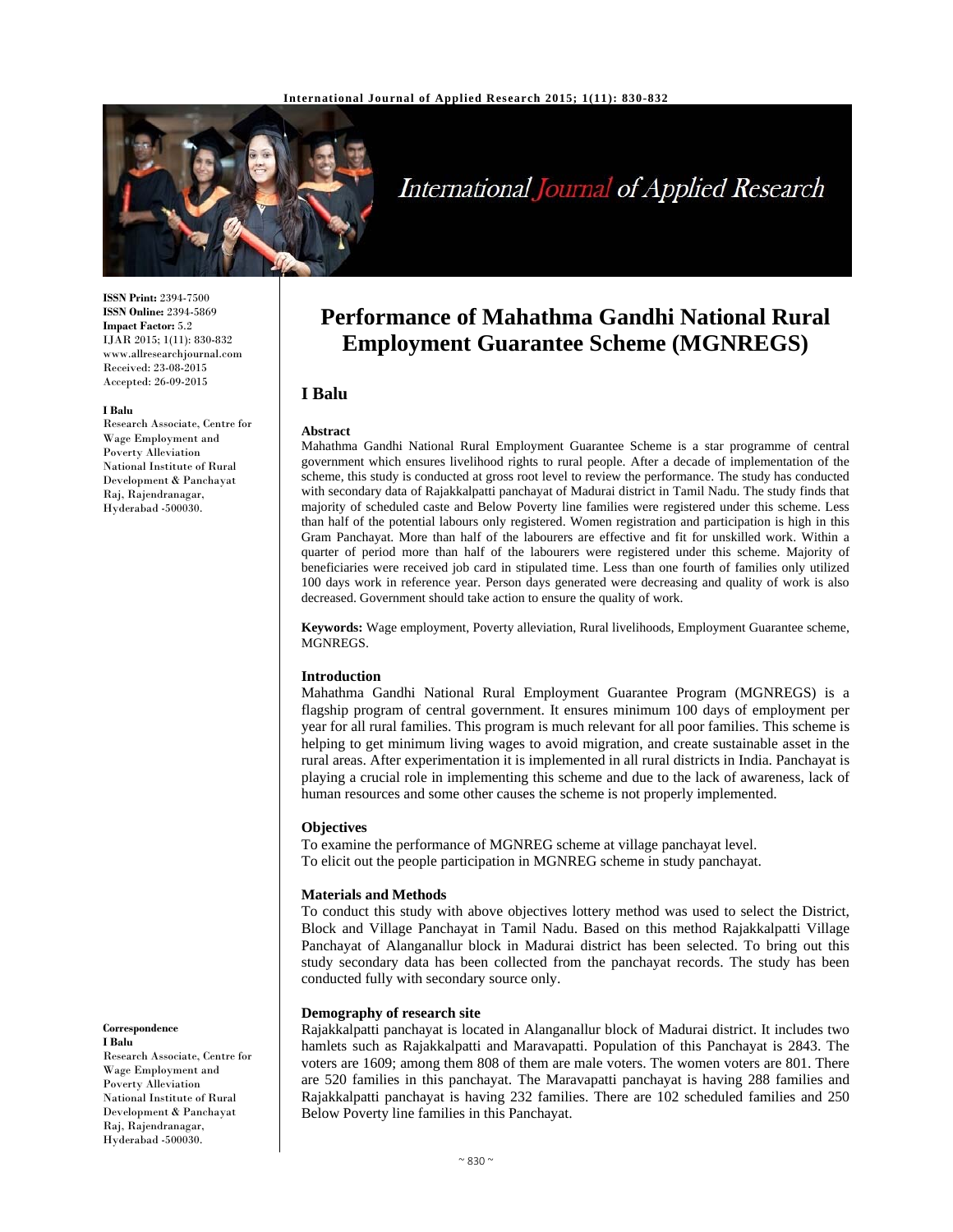

# International Journal of Applied Research

**ISSN Print:** 2394-7500 **ISSN Online:** 2394-5869 **Impact Factor:** 5.2 IJAR 2015; 1(11): 830-832 www.allresearchjournal.com Received: 23-08-2015 Accepted: 26-09-2015

#### **I Balu**

Research Associate, Centre for Wage Employment and Poverty Alleviation National Institute of Rural Development & Panchayat Raj, Rajendranagar, Hyderabad -500030.

**Correspondence I Balu** 

Research Associate, Centre for Wage Employment and Poverty Alleviation National Institute of Rural Development & Panchayat Raj, Rajendranagar, Hyderabad -500030.

## **Performance of Mahathma Gandhi National Rural Employment Guarantee Scheme (MGNREGS)**

## **I Balu**

#### **Abstract**

Mahathma Gandhi National Rural Employment Guarantee Scheme is a star programme of central government which ensures livelihood rights to rural people. After a decade of implementation of the scheme, this study is conducted at gross root level to review the performance. The study has conducted with secondary data of Rajakkalpatti panchayat of Madurai district in Tamil Nadu. The study finds that majority of scheduled caste and Below Poverty line families were registered under this scheme. Less than half of the potential labours only registered. Women registration and participation is high in this Gram Panchayat. More than half of the labourers are effective and fit for unskilled work. Within a quarter of period more than half of the labourers were registered under this scheme. Majority of beneficiaries were received job card in stipulated time. Less than one fourth of families only utilized 100 days work in reference year. Person days generated were decreasing and quality of work is also decreased. Government should take action to ensure the quality of work.

**Keywords:** Wage employment, Poverty alleviation, Rural livelihoods, Employment Guarantee scheme, MGNREGS.

#### **Introduction**

Mahathma Gandhi National Rural Employment Guarantee Program (MGNREGS) is a flagship program of central government. It ensures minimum 100 days of employment per year for all rural families. This program is much relevant for all poor families. This scheme is helping to get minimum living wages to avoid migration, and create sustainable asset in the rural areas. After experimentation it is implemented in all rural districts in India. Panchayat is playing a crucial role in implementing this scheme and due to the lack of awareness, lack of human resources and some other causes the scheme is not properly implemented.

#### **Objectives**

To examine the performance of MGNREG scheme at village panchayat level. To elicit out the people participation in MGNREG scheme in study panchayat.

#### **Materials and Methods**

To conduct this study with above objectives lottery method was used to select the District, Block and Village Panchayat in Tamil Nadu. Based on this method Rajakkalpatti Village Panchayat of Alanganallur block in Madurai district has been selected. To bring out this study secondary data has been collected from the panchayat records. The study has been conducted fully with secondary source only.

#### **Demography of research site**

Rajakkalpatti panchayat is located in Alanganallur block of Madurai district. It includes two hamlets such as Rajakkalpatti and Maravapatti. Population of this Panchayat is 2843. The voters are 1609; among them 808 of them are male voters. The women voters are 801. There are 520 families in this panchayat. The Maravapatti panchayat is having 288 families and Rajakkalpatti panchayat is having 232 families. There are 102 scheduled families and 250 Below Poverty line families in this Panchayat.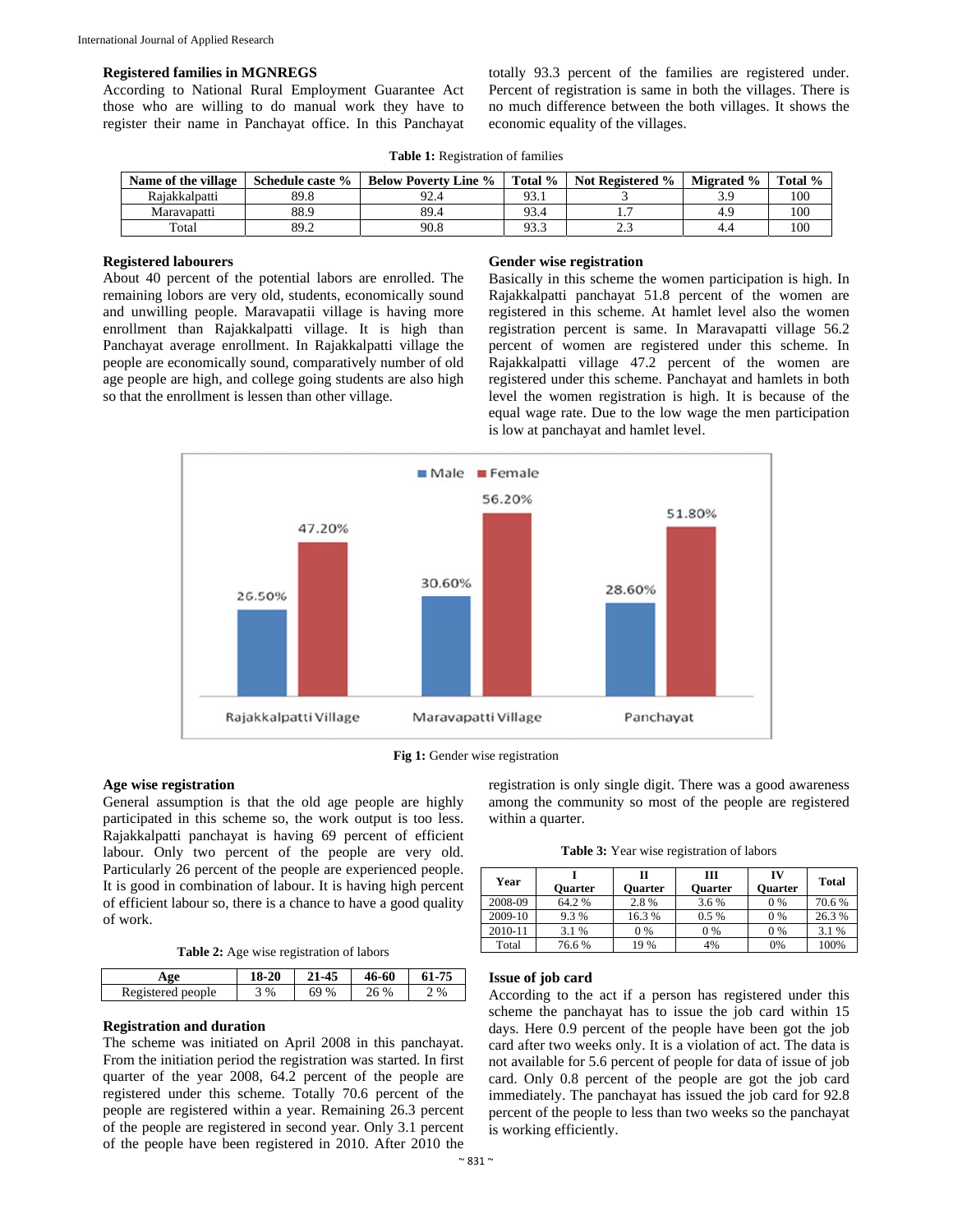#### **Registered families in MGNREGS**

According to National Rural Employment Guarantee Act those who are willing to do manual work they have to register their name in Panchayat office. In this Panchayat totally 93.3 percent of the families are registered under. Percent of registration is same in both the villages. There is no much difference between the both villages. It shows the economic equality of the villages.

| Name of the village | Schedule caste % | <b>Below Poverty Line %</b> | Total %   | <b>Not Registered %</b> | <b>Migrated %</b> | Total % |
|---------------------|------------------|-----------------------------|-----------|-------------------------|-------------------|---------|
| Rajakkalpatti       | 89.8             | 92.4                        | $93_{.1}$ |                         |                   | 100     |
| Maravapatti         | 88.9             | 89.4                        | 93.4      |                         |                   | 100     |
| Total               | 89.2             | 90.8                        | 93.3      | ⌒<br><u>.</u>           | т.-               | 100     |

**Table 1:** Registration of families

## **Registered labourers**

About 40 percent of the potential labors are enrolled. The remaining lobors are very old, students, economically sound and unwilling people. Maravapatii village is having more enrollment than Rajakkalpatti village. It is high than Panchayat average enrollment. In Rajakkalpatti village the people are economically sound, comparatively number of old age people are high, and college going students are also high so that the enrollment is lessen than other village.

#### **Gender wise registration**

Basically in this scheme the women participation is high. In Rajakkalpatti panchayat 51.8 percent of the women are registered in this scheme. At hamlet level also the women registration percent is same. In Maravapatti village 56.2 percent of women are registered under this scheme. In Rajakkalpatti village 47.2 percent of the women are registered under this scheme. Panchayat and hamlets in both level the women registration is high. It is because of the equal wage rate. Due to the low wage the men participation is low at panchayat and hamlet level.





## **Age wise registration**

General assumption is that the old age people are highly participated in this scheme so, the work output is too less. Rajakkalpatti panchayat is having 69 percent of efficient labour. Only two percent of the people are very old. Particularly 26 percent of the people are experienced people. It is good in combination of labour. It is having high percent of efficient labour so, there is a chance to have a good quality of work.

**Table 2:** Age wise registration of labors

| Age               | 18-20 | 21-45 | 46-60 |   |
|-------------------|-------|-------|-------|---|
| Registered people | %     | 69 %  | 26 %  | % |

## **Registration and duration**

The scheme was initiated on April 2008 in this panchayat. From the initiation period the registration was started. In first quarter of the year 2008, 64.2 percent of the people are registered under this scheme. Totally 70.6 percent of the people are registered within a year. Remaining 26.3 percent of the people are registered in second year. Only 3.1 percent of the people have been registered in 2010. After 2010 the registration is only single digit. There was a good awareness among the community so most of the people are registered within a quarter.

**Table 3:** Year wise registration of labors

| Year    | <b>Ouarter</b> | П<br>Ouarter | ш<br><b>Ouarter</b> | IV<br><b>Ouarter</b> | <b>Total</b> |
|---------|----------------|--------------|---------------------|----------------------|--------------|
| 2008-09 | 64.2 %         | 2.8%         | 3.6 %               | $0\%$                | 70.6%        |
| 2009-10 | 9.3%           | 16.3%        | $0.5\%$             | $0\%$                | 26.3%        |
| 2010-11 | 3.1 %          | $0\%$        | 0 %                 | 0%                   | 3.1 %        |
| Total   | 76.6%          | 19 %         | 4%                  | 0%                   | 100%         |

#### **Issue of job card**

According to the act if a person has registered under this scheme the panchayat has to issue the job card within 15 days. Here 0.9 percent of the people have been got the job card after two weeks only. It is a violation of act. The data is not available for 5.6 percent of people for data of issue of job card. Only 0.8 percent of the people are got the job card immediately. The panchayat has issued the job card for 92.8 percent of the people to less than two weeks so the panchayat is working efficiently.